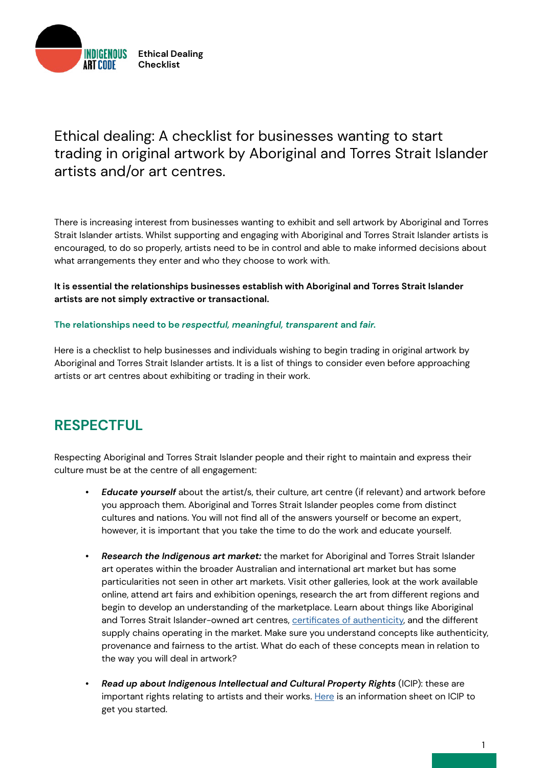

## Ethical dealing: A checklist for businesses wanting to start trading in original artwork by Aboriginal and Torres Strait Islander artists and/or art centres.

There is increasing interest from businesses wanting to exhibit and sell artwork by Aboriginal and Torres Strait Islander artists. Whilst supporting and engaging with Aboriginal and Torres Strait Islander artists is encouraged, to do so properly, artists need to be in control and able to make informed decisions about what arrangements they enter and who they choose to work with.

**It is essential the relationships businesses establish with Aboriginal and Torres Strait Islander artists are not simply extractive or transactional.** 

### **The relationships need to be** *respectful, meaningful, transparent* **and** *fair.*

Here is a checklist to help businesses and individuals wishing to begin trading in original artwork by Aboriginal and Torres Strait Islander artists. It is a list of things to consider even before approaching artists or art centres about exhibiting or trading in their work.

## **RESPECTFUL**

Respecting Aboriginal and Torres Strait Islander people and their right to maintain and express their culture must be at the centre of all engagement:

- *• Educate yourself* about the artist/s, their culture, art centre (if relevant) and artwork before you approach them. Aboriginal and Torres Strait Islander peoples come from distinct cultures and nations. You will not find all of the answers yourself or become an expert, however, it is important that you take the time to do the work and educate yourself.
- *• Research the Indigenous art market:* the market for Aboriginal and Torres Strait Islander art operates within the broader Australian and international art market but has some particularities not seen in other art markets. Visit other galleries, look at the work available online, attend art fairs and exhibition openings, research the art from different regions and begin to develop an understanding of the marketplace. Learn about things like Aboriginal and Torres Strait Islander-owned art centres, [certificates of authenticity](https://www.artslaw.com.au/information-sheet/certificates-of-authenticity-aitb/), and the different supply chains operating in the market. Make sure you understand concepts like authenticity, provenance and fairness to the artist. What do each of these concepts mean in relation to the way you will deal in artwork?
- *• Read up about Indigenous Intellectual and Cultural Property Rights* (ICIP): these are important rights relating to artists and their works. [Here](https://www.artslaw.com.au/information-sheet/indigenous-cultural-intellectual-property-icip-aitb/) is an information sheet on ICIP to get you started.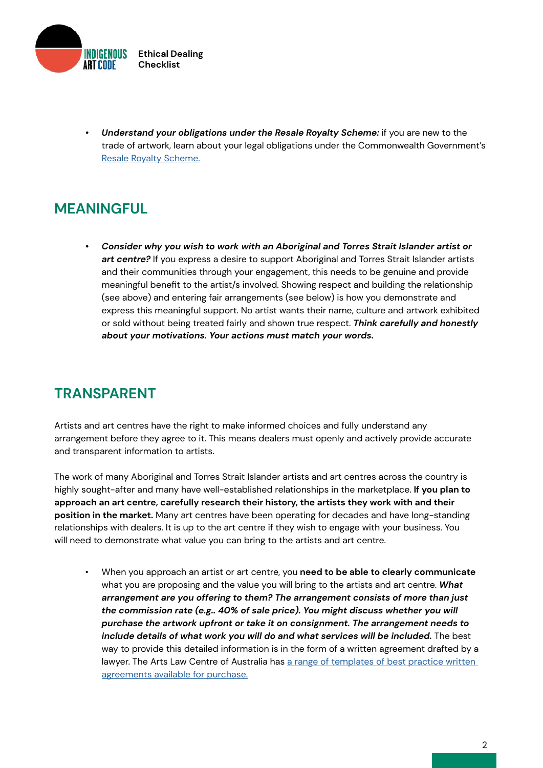

*• Understand your obligations under the Resale Royalty Scheme:* if you are new to the trade of artwork, learn about your legal obligations under the Commonwealth Government's [Resale Royalty Scheme.](https://www.resaleroyalty.org.au/)

# **MEANINGFUL**

*• Consider why you wish to work with an Aboriginal and Torres Strait Islander artist or art centre?* If you express a desire to support Aboriginal and Torres Strait Islander artists and their communities through your engagement, this needs to be genuine and provide meaningful benefit to the artist/s involved. Showing respect and building the relationship (see above) and entering fair arrangements (see below) is how you demonstrate and express this meaningful support. No artist wants their name, culture and artwork exhibited or sold without being treated fairly and shown true respect. *Think carefully and honestly about your motivations. Your actions must match your words.*

## **TRANSPARENT**

Artists and art centres have the right to make informed choices and fully understand any arrangement before they agree to it. This means dealers must openly and actively provide accurate and transparent information to artists.

The work of many Aboriginal and Torres Strait Islander artists and art centres across the country is highly sought-after and many have well-established relationships in the marketplace. **If you plan to approach an art centre, carefully research their history, the artists they work with and their position in the market.** Many art centres have been operating for decades and have long-standing relationships with dealers. It is up to the art centre if they wish to engage with your business. You will need to demonstrate what value you can bring to the artists and art centre.

• When you approach an artist or art centre, you **need to be able to clearly communicate**  what you are proposing and the value you will bring to the artists and art centre. *What arrangement are you offering to them? The arrangement consists of more than just the commission rate (e.g.. 40% of sale price). You might discuss whether you will purchase the artwork upfront or take it on consignment. The arrangement needs to*  include details of what work you will do and what services will be included. The best way to provide this detailed information is in the form of a written agreement drafted by a lawyer. The Arts Law Centre of Australia has a range of templates of best practice written [agreements available for purchase.](https://www.artslaw.com.au/info-hub/results/?i_am=anybody&looking_for=sample-agreements&about_search=anything&paginate=1&order_by=relevance&query=)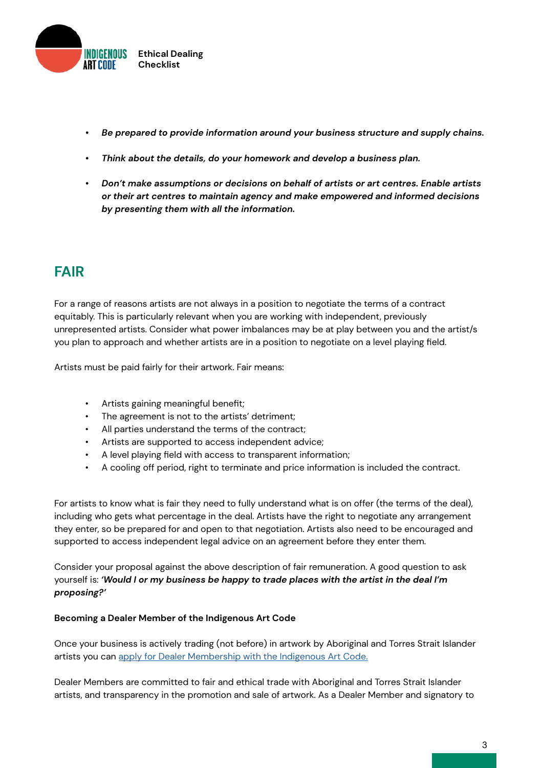

- *• Be prepared to provide information around your business structure and supply chains.*
- *• Think about the details, do your homework and develop a business plan.*
- *• Don't make assumptions or decisions on behalf of artists or art centres. Enable artists or their art centres to maintain agency and make empowered and informed decisions by presenting them with all the information.*

# **FAIR**

For a range of reasons artists are not always in a position to negotiate the terms of a contract equitably. This is particularly relevant when you are working with independent, previously unrepresented artists. Consider what power imbalances may be at play between you and the artist/s you plan to approach and whether artists are in a position to negotiate on a level playing field.

Artists must be paid fairly for their artwork. Fair means:

- Artists gaining meaningful benefit;
- The agreement is not to the artists' detriment;
- All parties understand the terms of the contract;
- Artists are supported to access independent advice;
- A level playing field with access to transparent information;
- A cooling off period, right to terminate and price information is included the contract.

For artists to know what is fair they need to fully understand what is on offer (the terms of the deal), including who gets what percentage in the deal. Artists have the right to negotiate any arrangement they enter, so be prepared for and open to that negotiation. Artists also need to be encouraged and supported to access independent legal advice on an agreement before they enter them.

Consider your proposal against the above description of fair remuneration. A good question to ask yourself is: *'Would I or my business be happy to trade places with the artist in the deal I'm proposing?'*

### **Becoming a Dealer Member of the Indigenous Art Code**

Once your business is actively trading (not before) in artwork by Aboriginal and Torres Strait Islander artists you can [apply for Dealer Membership with the Indigenous Art Code.](https://indigenousartcode.org/become-a-member-or-supporter/)

Dealer Members are committed to fair and ethical trade with Aboriginal and Torres Strait Islander artists, and transparency in the promotion and sale of artwork. As a Dealer Member and signatory to